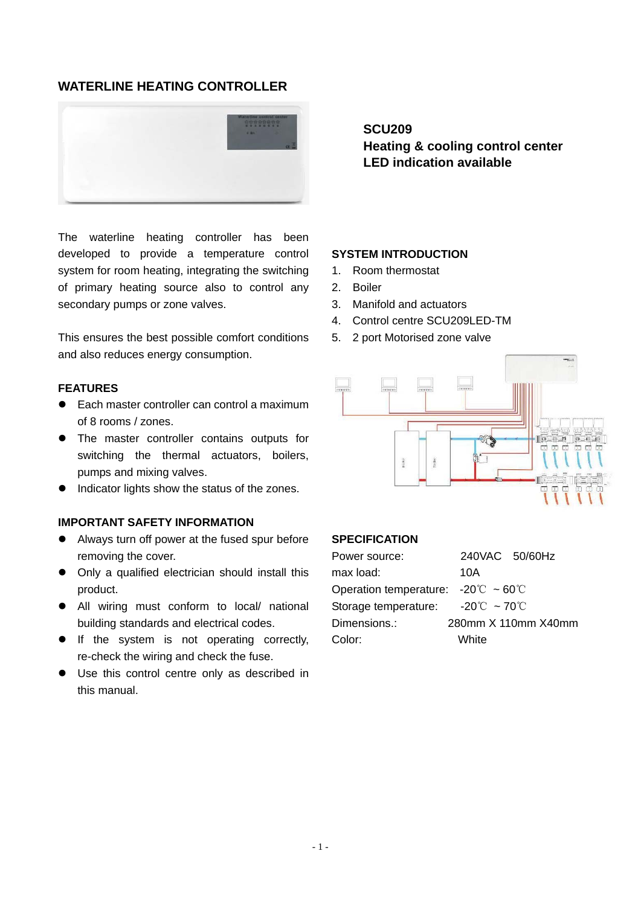# **WATERLINE HEATING CONTROLLER**



The waterline heating controller has been developed to provide a temperature control system for room heating, integrating the switching of primary heating source also to control any secondary pumps or zone valves.

This ensures the best possible comfort conditions and also reduces energy consumption.

### **FEATURES**

- Each master controller can control a maximum of 8 rooms / zones.
- The master controller contains outputs for switching the thermal actuators, boilers, pumps and mixing valves.
- $\bullet$  Indicator lights show the status of the zones.

## **IMPORTANT SAFETY INFORMATION**

- Always turn off power at the fused spur before removing the cover.
- Only a qualified electrician should install this product.
- All wiring must conform to local/ national building standards and electrical codes.
- **•** If the system is not operating correctly, re-check the wiring and check the fuse.
- Use this control centre only as described in this manual.

**SCU209** 

**Heating & cooling control center LED indication available** 

## **SYSTEM INTRODUCTION**

- 1. Room thermostat
- 2. Boiler
- 3. Manifold and actuators
- 4. Control centre SCU209LED-TM
- 5. 2 port Motorised zone valve



#### **SPECIFICATION**

| Power source:                                                        | 240VAC 50/60Hz      |
|----------------------------------------------------------------------|---------------------|
| max load:                                                            | 10A                 |
| Operation temperature: $-20^{\circ}\text{C} \sim 60^{\circ}\text{C}$ |                     |
| Storage temperature: $-20^{\circ}$ ~ 70 $^{\circ}$ C                 |                     |
| Dimensions.:                                                         | 280mm X 110mm X40mm |
| Color:                                                               | White               |
|                                                                      |                     |